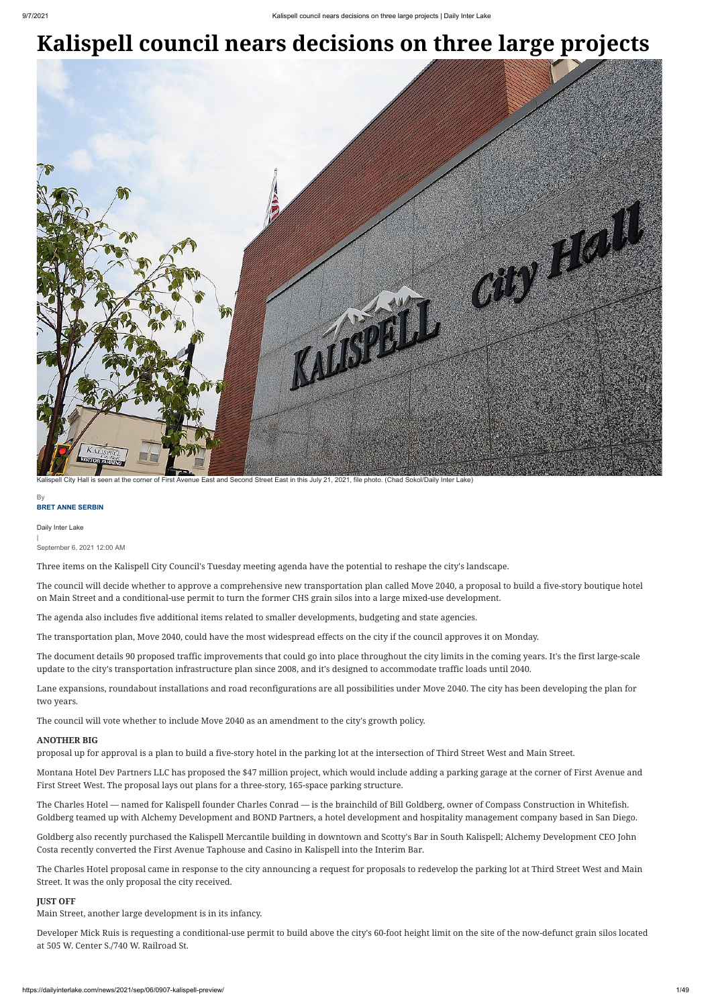## **Kalispell council nears decisions on three large projects**

Daily Inter Lake

| September 6, 2021 12:00 AM

Three items on the Kalispell City Council's Tuesday meeting agenda have the potential to reshape the city's landscape.

The council will decide whether to approve a comprehensive new transportation plan called Move 2040, a proposal to build a five-story boutique hotel on Main Street and a conditional-use permit to turn the former CHS grain silos into a large mixed-use development.

The agenda also includes five additional items related to smaller developments, budgeting and state agencies.

The transportation plan, Move 2040, could have the most widespread effects on the city if the council approves it on Monday.

The document details 90 proposed traffic improvements that could go into place throughout the city limits in the coming years. It's the first large-scale update to the city's transportation infrastructure plan since 2008, and it's designed to accommodate traffic loads until 2040.

Lane expansions, roundabout installations and road reconfigurations are all possibilities under Move 2040. The city has been developing the plan for two years.

The council will vote whether to include Move 2040 as an amendment to the city's growth policy.

## **ANOTHER BIG**

proposal up for approval is a plan to build a five-story hotel in the parking lot at the intersection of Third Street West and Main Street.

## **BRET ANNE SERBIN** By

Montana Hotel Dev Partners LLC has proposed the \$47 million project, which would include adding a parking garage at the corner of First Avenue and First Street West. The proposal lays out plans for a three-story, 165-space parking structure.

The Charles Hotel — named for Kalispell founder Charles Conrad — is the brainchild of Bill Goldberg, owner of Compass Construction in Whitefish. Goldberg teamed up with Alchemy Development and BOND Partners, a hotel development and hospitality management company based in San Diego.

Goldberg also recently purchased the Kalispell Mercantile building in downtown and Scotty's Bar in South Kalispell; Alchemy Development CEO John Costa recently converted the First Avenue Taphouse and Casino in Kalispell into the Interim Bar.

The Charles Hotel proposal came in response to the city announcing a request for proposals to redevelop the parking lot at Third Street West and Main Street. It was the only proposal the city received.

## **JUST OFF**

Main Street, another large development is in its infancy.

Developer Mick Ruis is requesting a conditional-use permit to build above the city's 60-foot height limit on the site of the now-defunct grain silos located at 505 W. Center S./740 W. Railroad St.



Kalispell City Hall is seen at the corner of First Avenue East and Second Street East in this July 21, 2021, file photo. (Chad Sokol/Daily Inter Lake)